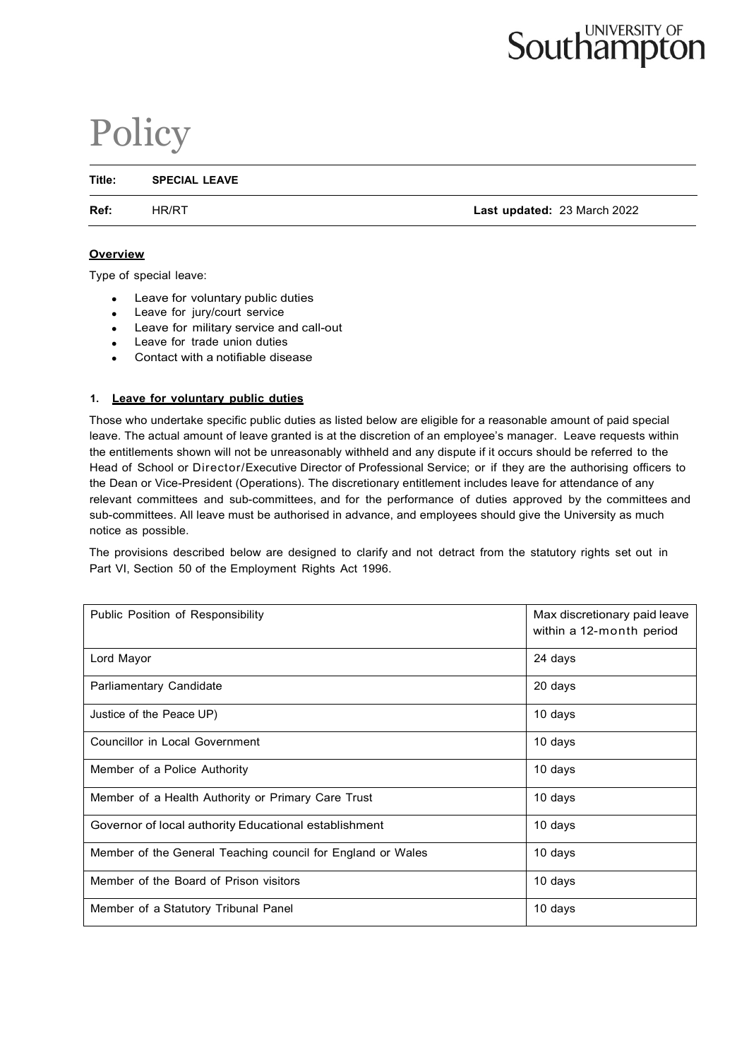# **Southampton**

# Policy

**Title: SPECIAL LEAVE**

**Ref:** HR/RT **Last updated:** 23 March 2022

#### **Overview**

Type of special leave:

- Leave for voluntary public duties
- Leave for jury/court service
- Leave for military service and call-out
- Leave for trade union duties
- Contact with a notifiable disease

# **1. Leave for voluntary public duties**

Those who undertake specific public duties as listed below are eligible for a reasonable amount of paid special leave. The actual amount of leave granted is at the discretion of an employee's manager. Leave requests within the entitlements shown will not be unreasonably withheld and any dispute if it occurs should be referred to the Head of School or Director/Executive Director of Professional Service; or if they are the authorising officers to the Dean or Vice-President (Operations). The discretionary entitlement includes leave for attendance of any relevant committees and sub-committees, and for the performance of duties approved by the committees and sub-committees. All leave must be authorised in advance, and employees should give the University as much notice as possible.

The provisions described below are designed to clarify and not detract from the statutory rights set out in Part VI, Section 50 of the Employment Rights Act 1996.

| Public Position of Responsibility                           | Max discretionary paid leave<br>within a 12-month period |
|-------------------------------------------------------------|----------------------------------------------------------|
| Lord Mayor                                                  | 24 days                                                  |
| Parliamentary Candidate                                     | 20 days                                                  |
| Justice of the Peace UP)                                    | 10 days                                                  |
| Councillor in Local Government                              | 10 days                                                  |
| Member of a Police Authority                                | 10 days                                                  |
| Member of a Health Authority or Primary Care Trust          | 10 days                                                  |
| Governor of local authority Educational establishment       | 10 days                                                  |
| Member of the General Teaching council for England or Wales | 10 days                                                  |
| Member of the Board of Prison visitors                      | 10 days                                                  |
| Member of a Statutory Tribunal Panel                        | 10 days                                                  |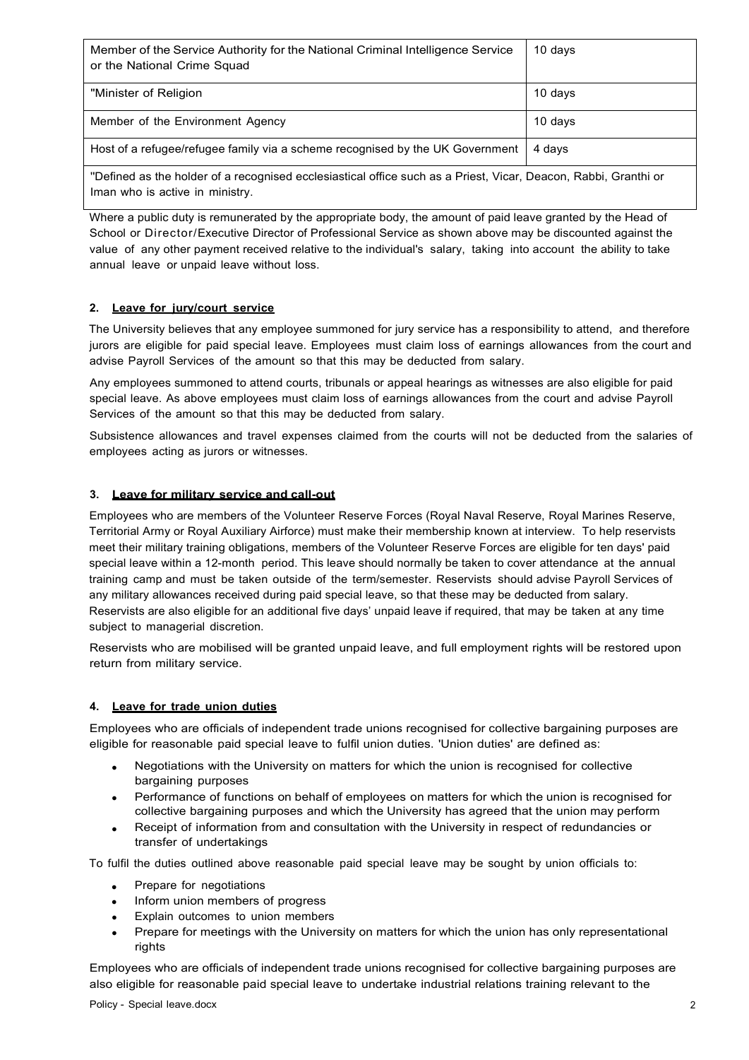| Member of the Service Authority for the National Criminal Intelligence Service<br>or the National Crime Squad                                      | $10$ days |
|----------------------------------------------------------------------------------------------------------------------------------------------------|-----------|
| "Minister of Religion                                                                                                                              | 10 days   |
| Member of the Environment Agency                                                                                                                   | 10 days   |
| Host of a refugee/refugee family via a scheme recognised by the UK Government                                                                      | 4 days    |
| "Defined as the holder of a recognised ecclesiastical office such as a Priest, Vicar, Deacon, Rabbi, Granthi or<br>Iman who is active in ministry. |           |

Where a public duty is remunerated by the appropriate body, the amount of paid leave granted by the Head of School or Director/Executive Director of Professional Service as shown above may be discounted against the value of any other payment received relative to the individual's salary, taking into account the ability to take annual leave or unpaid leave without loss.

# **2. Leave for jury/court service**

The University believes that any employee summoned for jury service has a responsibility to attend, and therefore jurors are eligible for paid special leave. Employees must claim loss of earnings allowances from the court and advise Payroll Services of the amount so that this may be deducted from salary.

Any employees summoned to attend courts, tribunals or appeal hearings as witnesses are also eligible for paid special leave. As above employees must claim loss of earnings allowances from the court and advise Payroll Services of the amount so that this may be deducted from salary.

Subsistence allowances and travel expenses claimed from the courts will not be deducted from the salaries of employees acting as jurors or witnesses.

# **3. Leave for military service and call-out**

Employees who are members of the Volunteer Reserve Forces (Royal Naval Reserve, Royal Marines Reserve, Territorial Army or Royal Auxiliary Airforce) must make their membership known at interview. To help reservists meet their military training obligations, members of the Volunteer Reserve Forces are eligible for ten days' paid special leave within a 12-month period. This leave should normally be taken to cover attendance at the annual training camp and must be taken outside of the term/semester. Reservists should advise Payroll Services of any military allowances received during paid special leave, so that these may be deducted from salary. Reservists are also eligible for an additional five days' unpaid leave if required, that may be taken at any time subject to managerial discretion.

Reservists who are mobilised will be granted unpaid leave, and full employment rights will be restored upon return from military service.

#### **4. Leave for trade union duties**

Employees who are officials of independent trade unions recognised for collective bargaining purposes are eligible for reasonable paid special leave to fulfil union duties. 'Union duties' are defined as:

- Negotiations with the University on matters for which the union is recognised for collective bargaining purposes
- Performance of functions on behalf of employees on matters for which the union is recognised for collective bargaining purposes and which the University has agreed that the union may perform
- Receipt of information from and consultation with the University in respect of redundancies or transfer of undertakings

To fulfil the duties outlined above reasonable paid special leave may be sought by union officials to:

- Prepare for negotiations
- Inform union members of progress
- Explain outcomes to union members
- Prepare for meetings with the University on matters for which the union has only representational rights

Employees who are officials of independent trade unions recognised for collective bargaining purposes are also eligible for reasonable paid special leave to undertake industrial relations training relevant to the